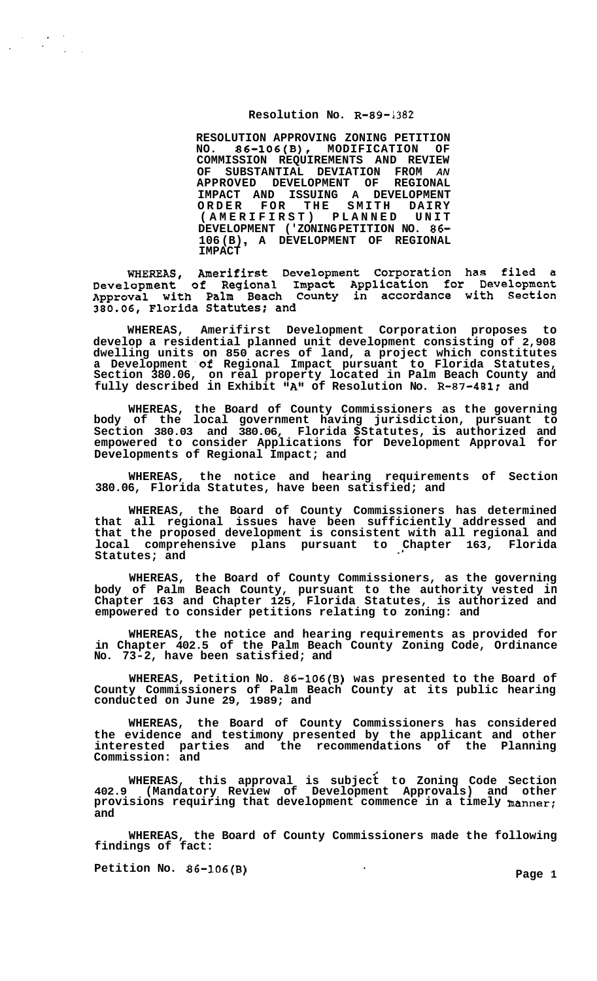## **Resolution No. R-89-1382**

**RESOLUTION APPROVING ZONING PETITION**<br>NO. 86-106(B), MODIFICATION OF **NO. 86-106(B), MODIFICATION OF COMMISSION REQUIREMENTS AND REVIEW OF SUBSTANTIAL DEVIATION FROM** *AN*  **APPROVED DEVELOPMENT OF REGIONAL IMPACT AND ISSUING A DEVELOPMENT ORDER FOR THE SMITH DAIRY (AMERIFIRST) PLANNED UNIT DEVELOPMENT ('ZONING PETITION NO. 86- 106 (B)** , **A DEVELOPMENT OF REGIONAL IMPACT** 

WHEREAS, Amerifirst Development Corporation has filed a<br>Development of Regional Impact Application for Development<br>Approval with Palm Beach County in accordance with Section 380.06, Florida Statutes; and

**WHEREAS, Amerifirst Development Corporation proposes to develop a residential planned unit development consisting of 2,908 dwelling units on 850 acres of land, a project which constitutes a Development .of Regional Impact pursuant to Florida Statutes, Section 380.06, on real property located in Palm Beach County and fully described in Exhibit "A" of Resolution No. R-87-481: and** 

**WHEREAS, the Board of County Commissioners as the governing body of the local government having jurisdiction, pursuant to Section 380.03 and 380.06, Florida \$Statutes, is authorized and empowered to consider Applications for Development Approval for Developments of Regional Impact; and** 

**WHEREAS, the notice and hearing requirements of Section 380.06, Florida Statutes, have been satisfied; and** 

**WHEREAS, the Board of County Commissioners has determined that all regional issues have been sufficiently addressed and that the proposed development is consistent with all regional and local comprehensive plans pursuant to Chapter 163, Florida Statutes; and** .\*

**WHEREAS, the Board of County Commissioners, as the governing body of Palm Beach County, pursuant to the authority vested in Chapter 163 and Chapter 125, Florida Statutes, is authorized and empowered to consider petitions relating to zoning: and** 

**WHEREAS, the notice and hearing requirements as provided for in Chapter 402.5 of the Palm Beach County Zoning Code, Ordinance No. 73-2, have been satisfied; and** 

**WHEREAS, Petition No. 86-106(B) was presented to the Board of County Commissioners of Palm Beach County at its public hearing conducted on June 29, 1989; and** 

**WHEREAS, the Board of County Commissioners has considered the evidence and testimony presented by the applicant and other interested parties and the recommendations of the Planning Commission: and** 

**WHEREAS, this approval is subject to Zoning Code Section 402.9 (Mandatory Review of Development Approvals) and other provisions requiring that development commence in a timely manner; and**  /

**WHEREAS, the Board of County Commissioners made the following findings of fact:** 

**Petition No. 86-106(B)** The Contract of the Page 1 and Page 1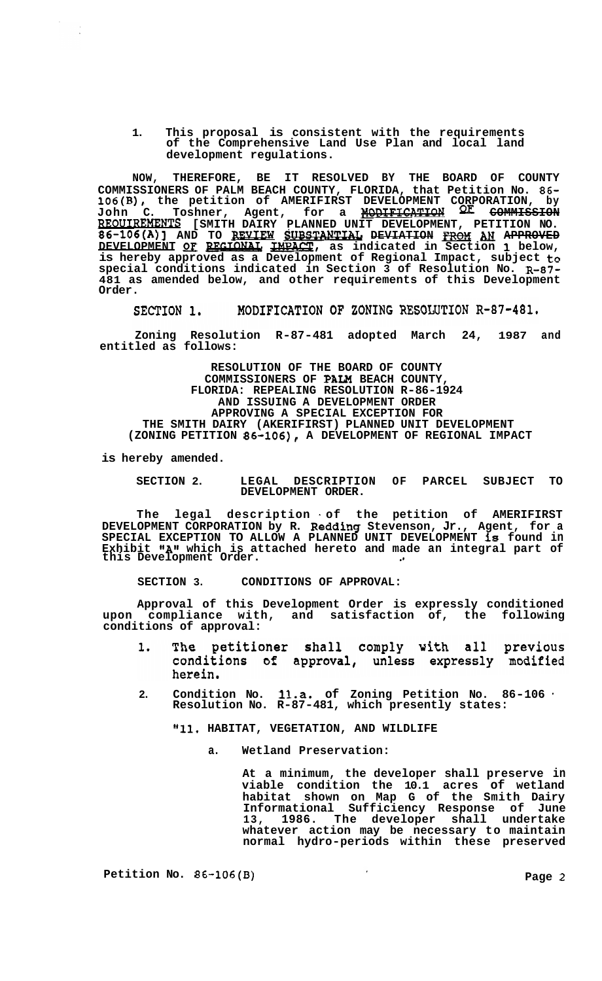**1. This proposal is consistent with the requirements of the Comprehensive Land Use Plan and local land development regulations.** 

**NOW, THEREFORE, BE IT RESOLVED BY THE BOARD OF COUNTY COMMISSIONERS OF PALM BEACH COUNTY, FLORIDA, that Petition No. 86- 106(B), the petition of AMERIFIRST DEVELOPMENT CORPORATION, by John C. Toshner, Agent, for a NODIFICATION COMMISSION REOUIREMENTS [SMITH DAIRY PLANNED UNIT DEVELOPMENT, PETITION NO. 860 C. Beam C. Beam Agent, tor a <del>modification of Commission</del><br>REOUIREMENTS [SMITH DAIRY PLANNED UNIT DEVELOPMENT, PETITION NO.<br>86-106(A)] AND TO <u>REVIEW SUBSTANTIAL</u> DEVIATION <u>FROM</u> AN A<del>PPROVED</del><br>DEVELOPMENT OF REGIONAL is hereby approved as a Development of Regional Impact, subject to special conditions indicated in Section 3 of Resolution No. R-87- 481 as amended below, and other requirements of this Development Order.** 

SECTION 1. MODIFICATION OF ZONING RESOLUTION R-87-481.

**Zoning Resolution R-87-481 adopted March 24, 1987 and entitled as follows:** 

**RESOLUTION OF THE BOARD OF COUNTY COMMISSIONERS OF PAN BEACH COUNTY, FLORIDA: REPEALING RESOLUTION R-86-1924 AND ISSUING A DEVELOPMENT ORDER APPROVING A SPECIAL EXCEPTION FOR THE SMITH DAIRY (AKERIFIRST) PLANNED UNIT DEVELOPMENT (ZONING PETITION 86-106), A DEVELOPMENT OF REGIONAL IMPACT** 

**is hereby amended.** 

**SECTION 2. LEGAL DESCRIPTION OF PARCEL SUBJECT TO DEVELOPMENT ORDER.** 

**The legal description** . **of the petition of AMERIFIRST DEVELOPMENT CORPORATION by R. Redding Stevenson, Jr., Agent, for a SPECIAL EXCEPTION TO ALLOW A PLANNED UNIT DEVELOPMENT is found in Exhibit "A"** which is attached hereto and made an integral part of<br>this Development Order.

**SECTION 3. CONDITIONS OF APPROVAL:** 

**Approval of this Development Order is expressly conditioned upon compliance with, and satisfaction of, the following conditions of approval:** 

- The petitioner shall comply with all previous  $\mathbf{1}$ . conditions of approval, unless expressly modified herein.
- **2. Condition No. 1l.a. of Zoning Petition No. 86-106** . **Resolution No. R-87-481, which presently states:**

**"11. HABITAT, VEGETATION, AND WILDLIFE** 

**a. Wetland Preservation:** 

**At a minimum, the developer shall preserve in viable condition the 10.1 acres of wetland habitat shown on Map G of the Smith Dairy Informational Sufficiency Response of June 13, 1986. The developer shall undertake whatever action may be necessary to maintain normal hydro-periods within these preserved** 

**Petition No. 86-106(B) Page 2**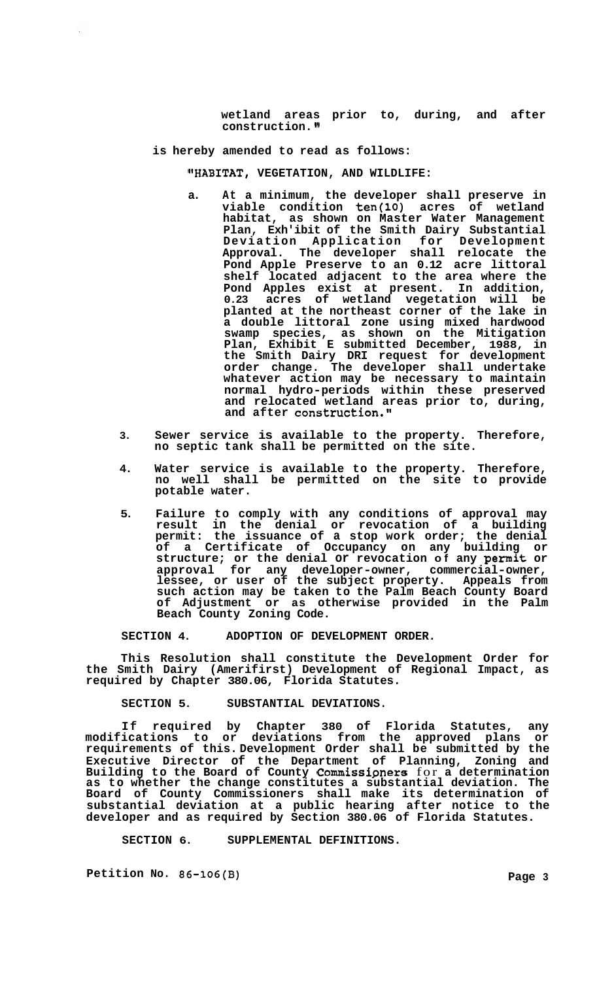**wetland areas prior to, during, and after construction. <sup>w</sup>**

**is hereby amended to read as follows:** 

**WABITAT, VEGETATION, AND WILDLIFE:** 

- **a. At a minimum, the developer shall preserve in viable condition ten(l0) acres of wetland habitat, as shown on Master Water Management Plan, Exh'ibit of the Smith Dairy Substantial Deviation Application for Development Approval. The developer shall relocate the Pond Apple Preserve to an 0.12 acre littoral shelf located adjacent to the area where the Pond Apples exist at present. In addition, 0.23 acres of wetland vegetation will be planted at the northeast corner of the lake in a double littoral zone using mixed hardwood swamp species, as shown on the Mitigation Plan, Exhibit E submitted December, 1988, in the Smith Dairy DRI request for development order change. The developer shall undertake whatever action may be necessary to maintain normal hydro-periods within these preserved and relocated wetland areas prior to, during,**  and after construction."
- **3. Sewer service is available to the property. Therefore, no septic tank shall be permitted on the site.**
- **4. Water service is available to the property. Therefore, no well shall be permitted on the site to provide potable water.**
- **5. Failure to comply with any conditions of approval may result in the denial or revocation of a building permit: the issuance of a stop work order; the denial of a Certificate of Occupancy on any building or structure; or the denial or revocation of any permit or approval for any developer-owner, commercial-owner, lessee, or user of the subject property. Appeals from such action may be taken to the Palm Beach County Board of Adjustment or as otherwise provided in the Palm Beach County Zoning Code.**

**SECTION 4. ADOPTION OF DEVELOPMENT ORDER.** 

**This Resolution shall constitute the Development Order for the Smith Dairy (Amerifirst) Development of Regional Impact, as required by Chapter 380.06, Florida Statutes.** 

**SECTION 5. SUBSTANTIAL DEVIATIONS.** 

**If required by Chapter 380 of Florida Statutes, any modifications to or deviations from the approved plans or requirements of this. Development Order shall be submitted by the Executive Director of the Department of Planning, Zoning and Building to the Board of County Commissipners** for **a determination as to whether the change constitutes a substantial deviation. The Board of County Commissioners shall make its determination of substantial deviation at a public hearing after notice to the developer and as required by Section 380.06 of Florida Statutes.** 

**SECTION 6. SUPPLEMENTAL DEFINITIONS.** 

Petition No. 86-106(B) 2012 2022 2023 2024 2022 2023 2022 2023 2022 2023 2022 2023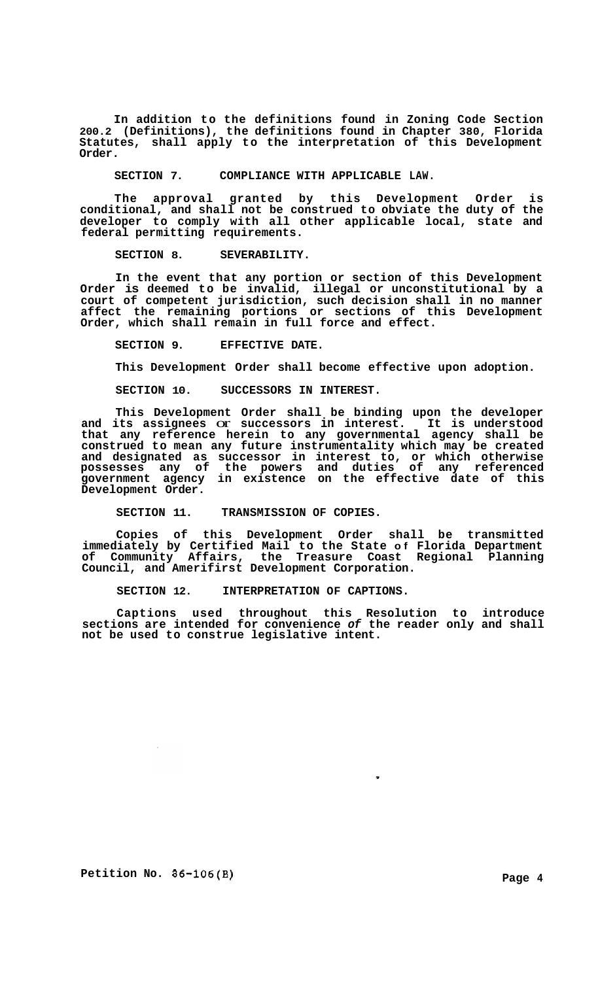**In addition to the definitions found in Zoning Code Section 200.2 (Definitions), the definitions found in Chapter 380, Florida Statutes, shall apply to the interpretation of this Development Order.** 

**SECTION 7. COMPLIANCE WITH APPLICABLE LAW.** 

**The approval granted by this Development Order is conditional, and shall not be construed to obviate the duty of the developer to comply with all other applicable local, state and federal permitting requirements.** 

**SECTION 8. SEVERABILITY.** 

**In the event that any portion or section of this Development Order is deemed to be invalid, illegal or unconstitutional by a court of competent jurisdiction, such decision shall in no manner affect the remaining portions or sections of this Development Order, which shall remain in full force and effect.** 

**SECTION 9. EFFECTIVE DATE.** 

**This Development Order shall become effective upon adoption.** 

**SECTION 10. SUCCESSORS IN INTEREST.** 

**This Development Order shall be binding upon the developer and its assignees** or **successors in interest. It is understood that any reference herein to any governmental agency shall be construed to mean any future instrumentality which may be created and designated as successor in interest to, or which otherwise possesses any of the powers and duties of any referenced government agency in existence on the effective date of this Development Order.** 

**SECTION 11. TRANSMISSION OF COPIES.** 

**Copies of this Development Order shall be transmitted immediately by Certified Mail to the State of Florida Department of Community Affairs, the Treasure Coast Regional Planning Council, and Amerifirst Development Corporation.** 

**SECTION 12. INTERPRETATION OF CAPTIONS.** 

**Captions used throughout this Resolution to introduce sections are intended for convenience** *of* **the reader only and shall not be used to construe legislative intent.** 

,

**Petition No. 86-106(B)** Page 4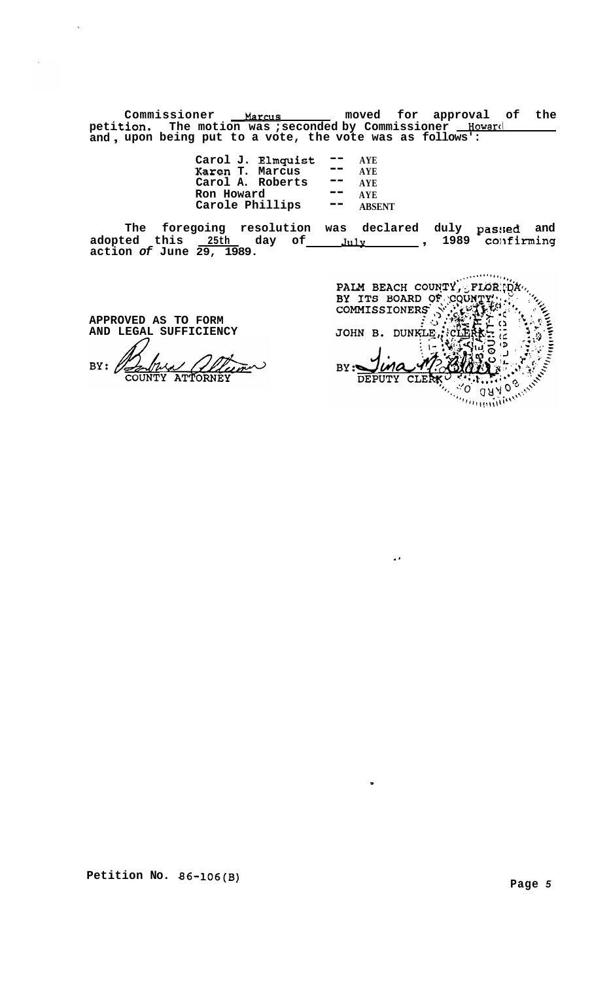**peti .tion. The motion was ;seconded by Commissioner HowarcI and** , **upon being put to a vote, the vote was as follows':**  Commissioner **Marcus moved** for approval of the

> **Carol J. Elmquist** -- **AYE Karen T. Marcus** -- **AYE Carol A. Roberts -- AYE<br>Carol A. Roberts -- AYE Carol A. Roberts** -- AYE<br>**Ron Howard --** AYE

The foregoing resolution was declared duly pas:sed and <br>adopted this <u>25th day of July 1989</u> confirming **action** *of* **June 29, 1989.** 

**APPROVED AS TO FORM AND LEGAL SUFFICIENCY** 

BY:  $\ell$ 

Ron Howard -- AYE<br>
Carole Phillips -- ABSENT<br>
going resolution was declared duly passed and<br>  $\frac{25 \text{th}}{29, 1989}$ .  $\frac{101 \text{y}}{29, 1989}$ ,  $\frac{101 \text{y}}{29, 1989}$ ,  $\frac{101 \text{y}}{29, 1989}$ ,  $\frac{101 \text{y}}{29, 1989}$ ,  $\frac{1$ **ARACTER AND STATE** lma  $BY:$ DEPUTY CLE  $\sqrt[n]{\overline{O}}$ 

..

,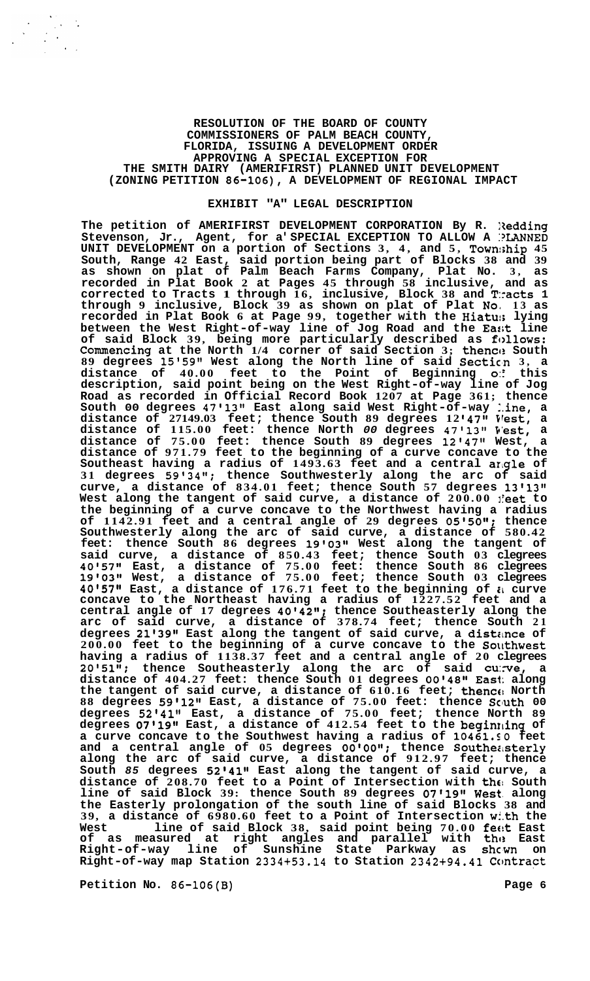## **RESOLUTION OF THE BOARD OF COUNTY COMMISSIONERS OF PALM BEACH COUNTY, FLORIDA, ISSUING A DEVELOPMENT ORDER APPROVING A SPECIAL EXCEPTION FOR THE SMITH DAIRY (AMERIFIRST) PLANNED UNIT DEVELOPMENT (ZONING PETITION 86-106), A DEVELOPMENT OF REGIONAL IMPACT**

## **EXHIBIT "A" LEGAL DESCRIPTION**

**The petition of AMERIFIRST DEVELOPMENT CORPORATION By R. lledding**  Stevenson, Jr., Agent, for a' SPECIAL EXCEPTION TO ALLOW A **PLANNED UNIT DEVELOPMENT on a portion of Sections 3, 4, and 5, Town:;hip 45 South, Range 42 East, said portion being part of Blocks 38 and 39 as shown on plat of Palm Beach Farms Company, Plat No. 3, as recorded in Plat Book 2 at Pages 45 through 58 inclusive, and as corrected to Tracts 1 through 16, inclusive, Block 38 and T:racts 1 through 9 inclusive, Block 39 as shown on plat of Plat Noa 13 as recorded in Plat Book 6 at Page 99, together with the Hiatu:; lying between the West Right-of-way line of Jog Road and the Ea:;t line of said Block 39, being more particularly described as fc>llows: Commencing at the North 1/4 corner of said Section 3; thencc: South 89 degrees 15'59" West along the North line of said Sectic'n 3, a distance of 40.00 feet to the Point of Beginning** *0::* **this description, said point being on the West Right-of-way line of Jog Road as recorded in Official Record Book 1207 at Page 361; thence South 00 degrees 47'13" East along said West Right-of-way :.ine, a distance of 27149.03 feet; thence South 89 degrees 12 '47'@ Irest, a distance of 115.00 feet: thence North** *00* **degrees 47'13'' P'est, a distance of 75.00 feet: thence South 89 degrees 12'47" West, a distance of 971.79 feet to the beginning of a curve concave to the Southeast having a radius of 1493.63 feet and a central arlgle of 31 degrees 59'34''; thence Southwesterly along the arc of said curve, a distance of 834.01 feet; thence South 57 degrees 13l13" West along the tangent of said curve, a distance of 200.00 lreet to the beginning of a curve concave to the Northwest having a radius of 1142.91 feet and a central angle of 29 degrees O5'5Og1; thence Southwesterly along the arc of said curve, a distance of 580.42 feet: thence South 86 degrees 19'0318 West along the tangent of said curve, a distance of 850.43 feet; thence South 03 clegrees 40'57'l East, a distance of 75.00 feet: thence South 86 clegrees 19t0311 West, a distance of 75.00 feet; thence South 03 clegrees 40'57"** East, a distance of 176.71 feet to the beginning of  $\imath$  curve **concave to the Northeast having a radius of 1227.52 feet and a central angle of 17 degrees 40\*421t; thence Southeasterly along the arc of said curve, a distance of 378.74 feet; thence South 21**  degrees 21'39" East along the tangent of said curve, a distance of **200.00 feet to the beginning of a curve concave to the So\khwest having a radius of 1138.37 feet and a central angle of 20 clegrees 2O'5lgt; thence Southeasterly along the arc of said cu:rve, a distance of 404.27 feet: thence South 01 degrees 00t48t1 East: along the tangent of said curve, a distance of 610.16 feet; thence! North 88 degrees 59'12'l East, a distance of 75.00 feet: thence Scluth 00 degrees 52'41" East, a distance of 75.00 feet; thence North 89 degrees O7'19lt East, a distance of 412.54 feet to the beginrdng of a curve concave to the Southwest having a radius of 10461.SO feet and a central angle of 05 degrees 00'00"; thence Southeasterly along the arc of said curve, a distance of 912.97 feet; thence South** *85* **degrees 52'41Il East along the tangent of said curve, a distance of 208.70 feet to a Point of Intersection with tht! South line of said Block 39: thence South 89 degrees 07'1911 West. along the Easterly prolongation of the south line of said Blocks 38 and 39, a distance of 6980.60 feet to a Point of Intersection wi.th the West line of said Block 38, said point being 70.00 fecit East**  of as measured at right angles and parallel with the East **Right-of-way line of Sunshine State Parkway as shcwn on Right-of-way map Station 2334+53.14 to Station 2342+94.41 Ccmtract** 

**Petition No. 86-106(B) Page 6**